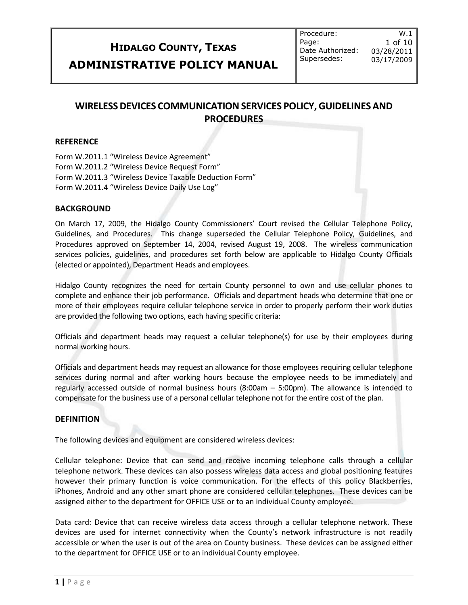# **HIDALGO COUNTY, TEXAS ADMINISTRATIVE POLICY MANUAL**

Procedure: Page: Date Authorized: Supersedes:

W.1 1 of 10 03/28/2011 03/17/2009

# **WIRELESSDEVICES COMMUNICATIONSERVICES POLICY,GUIDELINESAND PROCEDURES**

#### **REFERENCE**

Form W.2011.1 "Wireless Device Agreement" Form W.2011.2 "Wireless Device Request Form" Form W.2011.3 "Wireless Device Taxable Deduction Form" Form W.2011.4 "Wireless Device Daily Use Log"

## **BACKGROUND**

On March 17, 2009, the Hidalgo County Commissioners' Court revised the Cellular Telephone Policy, Guidelines, and Procedures. This change superseded the Cellular Telephone Policy, Guidelines, and Procedures approved on September 14, 2004, revised August 19, 2008. The wireless communication services policies, guidelines, and procedures set forth below are applicable to Hidalgo County Officials (elected or appointed), Department Heads and employees.

Hidalgo County recognizes the need for certain County personnel to own and use cellular phones to complete and enhance their job performance. Officials and department heads who determine that one or more of their employees require cellular telephone service in order to properly perform their work duties are provided the following two options, each having specific criteria:

Officials and department heads may request a cellular telephone(s) for use by their employees during normal working hours.

Officials and department heads may request an allowance for those employees requiring cellular telephone services during normal and after working hours because the employee needs to be immediately and regularly accessed outside of normal business hours (8:00am – 5:00pm). The allowance is intended to compensate for the business use of a personal cellular telephone not for the entire cost of the plan.

#### **DEFINITION**

The following devices and equipment are considered wireless devices:

Cellular telephone: Device that can send and receive incoming telephone calls through a cellular telephone network. These devices can also possess wireless data access and global positioning features however their primary function is voice communication. For the effects of this policy Blackberries, iPhones, Android and any other smart phone are considered cellular telephones. These devices can be assigned either to the department for OFFICE USE or to an individual County employee.

Data card: Device that can receive wireless data access through a cellular telephone network. These devices are used for internet connectivity when the County's network infrastructure is not readily accessible or when the user is out of the area on County business. These devices can be assigned either to the department for OFFICE USE or to an individual County employee.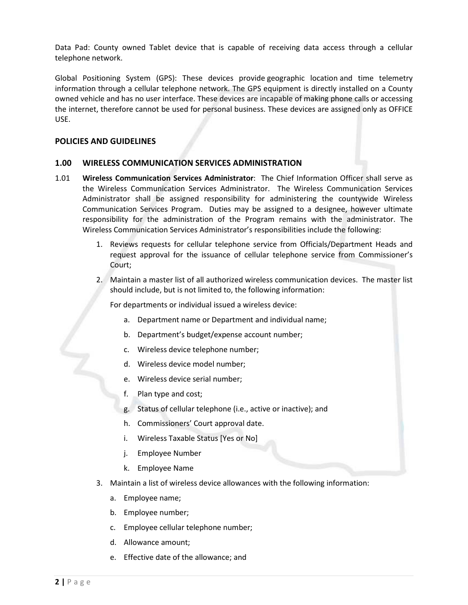Data Pad: County owned Tablet device that is capable of receiving data access through a cellular telephone network.

Global Positioning System (GPS): These devices provide geographic location and time telemetry information through a cellular telephone network. The GPS equipment is directly installed on a County owned vehicle and has no user interface. These devices are incapable of making phone calls or accessing the internet, therefore cannot be used for personal business. These devices are assigned only as OFFICE USE.

#### **POLICIES AND GUIDELINES**

#### **1.00 WIRELESS COMMUNICATION SERVICES ADMINISTRATION**

- 1.01 **Wireless Communication Services Administrator**: The Chief Information Officer shall serve as the Wireless Communication Services Administrator. The Wireless Communication Services Administrator shall be assigned responsibility for administering the countywide Wireless Communication Services Program. Duties may be assigned to a designee, however ultimate responsibility for the administration of the Program remains with the administrator. The Wireless Communication Services Administrator's responsibilities include the following:
	- 1. Reviews requests for cellular telephone service from Officials/Department Heads and request approval for the issuance of cellular telephone service from Commissioner's Court;
	- 2. Maintain a master list of all authorized wireless communication devices. The master list should include, but is not limited to, the following information:

For departments or individual issued a wireless device:

- a. Department name or Department and individual name;
- b. Department's budget/expense account number;
- c. Wireless device telephone number;
- d. Wireless device model number;
- e. Wireless device serial number;
- f. Plan type and cost;
- g. Status of cellular telephone (i.e., active or inactive); and
- h. Commissioners' Court approval date.
- i. Wireless Taxable Status [Yes or No]
- j. Employee Number
- k. Employee Name
- 3. Maintain a list of wireless device allowances with the following information:
	- a. Employee name;
	- b. Employee number;
	- c. Employee cellular telephone number;
	- d. Allowance amount;
	- e. Effective date of the allowance; and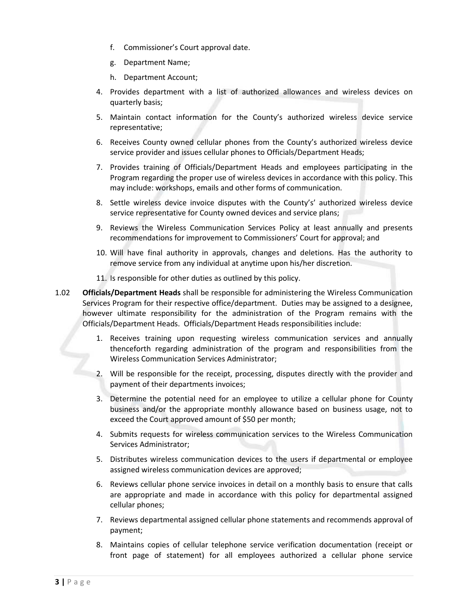- f. Commissioner's Court approval date.
- g. Department Name;
- h. Department Account;
- 4. Provides department with a list of authorized allowances and wireless devices on quarterly basis;
- 5. Maintain contact information for the County's authorized wireless device service representative;
- 6. Receives County owned cellular phones from the County's authorized wireless device service provider and issues cellular phones to Officials/Department Heads;
- 7. Provides training of Officials/Department Heads and employees participating in the Program regarding the proper use of wireless devices in accordance with this policy. This may include: workshops, emails and other forms of communication.
- 8. Settle wireless device invoice disputes with the County's' authorized wireless device service representative for County owned devices and service plans;
- 9. Reviews the Wireless Communication Services Policy at least annually and presents recommendations for improvement to Commissioners' Court for approval; and
- 10. Will have final authority in approvals, changes and deletions. Has the authority to remove service from any individual at anytime upon his/her discretion.
- 11. Is responsible for other duties as outlined by this policy.
- 1.02 **Officials/Department Heads** shall be responsible for administering the Wireless Communication Services Program for their respective office/department. Duties may be assigned to a designee, however ultimate responsibility for the administration of the Program remains with the Officials/Department Heads. Officials/Department Heads responsibilities include:
	- 1. Receives training upon requesting wireless communication services and annually thenceforth regarding administration of the program and responsibilities from the Wireless Communication Services Administrator;
	- 2. Will be responsible for the receipt, processing, disputes directly with the provider and payment of their departments invoices;
	- 3. Determine the potential need for an employee to utilize a cellular phone for County business and/or the appropriate monthly allowance based on business usage, not to exceed the Court approved amount of \$50 per month;
	- 4. Submits requests for wireless communication services to the Wireless Communication Services Administrator;
	- 5. Distributes wireless communication devices to the users if departmental or employee assigned wireless communication devices are approved;
	- 6. Reviews cellular phone service invoices in detail on a monthly basis to ensure that calls are appropriate and made in accordance with this policy for departmental assigned cellular phones;
	- 7. Reviews departmental assigned cellular phone statements and recommends approval of payment;
	- 8. Maintains copies of cellular telephone service verification documentation (receipt or front page of statement) for all employees authorized a cellular phone service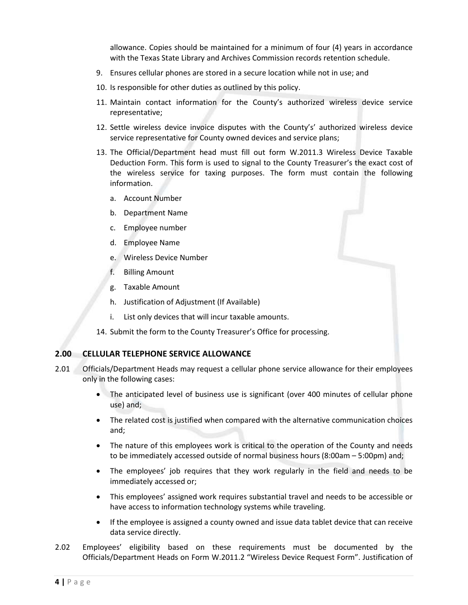allowance. Copies should be maintained for a minimum of four (4) years in accordance with the Texas State Library and Archives Commission records retention schedule.

- 9. Ensures cellular phones are stored in a secure location while not in use; and
- 10. Is responsible for other duties as outlined by this policy.
- 11. Maintain contact information for the County's authorized wireless device service representative;
- 12. Settle wireless device invoice disputes with the County's' authorized wireless device service representative for County owned devices and service plans;
- 13. The Official/Department head must fill out form W.2011.3 Wireless Device Taxable Deduction Form. This form is used to signal to the County Treasurer's the exact cost of the wireless service for taxing purposes. The form must contain the following information.
	- a. Account Number
	- b. Department Name
	- c. Employee number
	- d. Employee Name
	- e. Wireless Device Number
	- f. Billing Amount
	- g. Taxable Amount
	- h. Justification of Adjustment (If Available)
	- i. List only devices that will incur taxable amounts.
- 14. Submit the form to the County Treasurer's Office for processing.

## **2.00 CELLULAR TELEPHONE SERVICE ALLOWANCE**

- 2.01 Officials/Department Heads may request a cellular phone service allowance for their employees only in the following cases:
	- The anticipated level of business use is significant (over 400 minutes of cellular phone use) and;
	- The related cost is justified when compared with the alternative communication choices and;
	- The nature of this employees work is critical to the operation of the County and needs to be immediately accessed outside of normal business hours (8:00am – 5:00pm) and;
	- The employees' job requires that they work regularly in the field and needs to be immediately accessed or;
	- This employees' assigned work requires substantial travel and needs to be accessible or have access to information technology systems while traveling.
	- If the employee is assigned a county owned and issue data tablet device that can receive data service directly.
- 2.02 Employees' eligibility based on these requirements must be documented by the Officials/Department Heads on Form W.2011.2 "Wireless Device Request Form". Justification of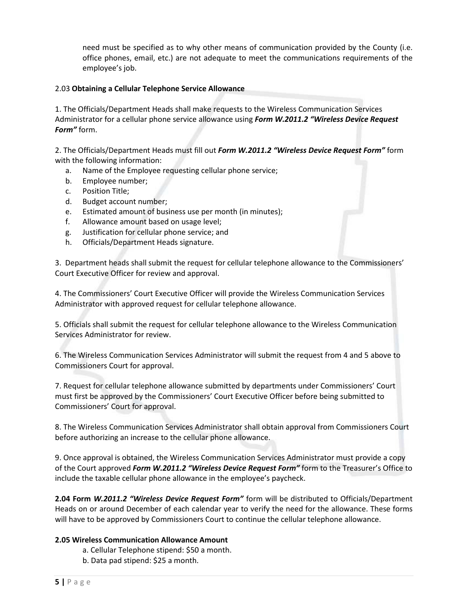need must be specified as to why other means of communication provided by the County (i.e. office phones, email, etc.) are not adequate to meet the communications requirements of the employee's job.

## 2.03 **Obtaining a Cellular Telephone Service Allowance**

1. The Officials/Department Heads shall make requests to the Wireless Communication Services Administrator for a cellular phone service allowance using *Form W.2011.2 "Wireless Device Request Form"* form.

2. The Officials/Department Heads must fill out *Form W.2011.2 "Wireless Device Request Form"* form with the following information:

- a. Name of the Employee requesting cellular phone service;
- b. Employee number;
- c. Position Title;
- d. Budget account number;
- e. Estimated amount of business use per month (in minutes);
- f. Allowance amount based on usage level;
- g. Justification for cellular phone service; and
- h. Officials/Department Heads signature.

3. Department heads shall submit the request for cellular telephone allowance to the Commissioners' Court Executive Officer for review and approval.

4. The Commissioners' Court Executive Officer will provide the Wireless Communication Services Administrator with approved request for cellular telephone allowance.

5. Officials shall submit the request for cellular telephone allowance to the Wireless Communication Services Administrator for review.

6. The Wireless Communication Services Administrator will submit the request from 4 and 5 above to Commissioners Court for approval.

7. Request for cellular telephone allowance submitted by departments under Commissioners' Court must first be approved by the Commissioners' Court Executive Officer before being submitted to Commissioners' Court for approval.

8. The Wireless Communication Services Administrator shall obtain approval from Commissioners Court before authorizing an increase to the cellular phone allowance.

9. Once approval is obtained, the Wireless Communication Services Administrator must provide a copy of the Court approved *Form W.2011.2 "Wireless Device Request Form"* form to the Treasurer's Office to include the taxable cellular phone allowance in the employee's paycheck.

**2.04 Form** *W.2011.2 "Wireless Device Request Form"* form will be distributed to Officials/Department Heads on or around December of each calendar year to verify the need for the allowance. These forms will have to be approved by Commissioners Court to continue the cellular telephone allowance.

## **2.05 Wireless Communication Allowance Amount**

- a. Cellular Telephone stipend: \$50 a month.
- b. Data pad stipend: \$25 a month.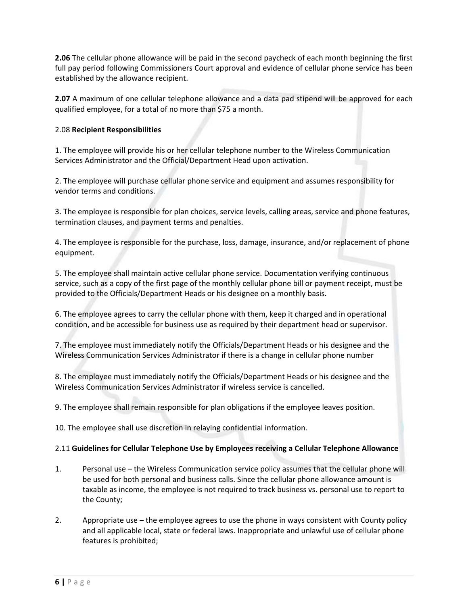**2.06** The cellular phone allowance will be paid in the second paycheck of each month beginning the first full pay period following Commissioners Court approval and evidence of cellular phone service has been established by the allowance recipient.

**2.07** A maximum of one cellular telephone allowance and a data pad stipend will be approved for each qualified employee, for a total of no more than \$75 a month.

#### 2.08 **Recipient Responsibilities**

1. The employee will provide his or her cellular telephone number to the Wireless Communication Services Administrator and the Official/Department Head upon activation.

2. The employee will purchase cellular phone service and equipment and assumes responsibility for vendor terms and conditions.

3. The employee is responsible for plan choices, service levels, calling areas, service and phone features, termination clauses, and payment terms and penalties.

4. The employee is responsible for the purchase, loss, damage, insurance, and/or replacement of phone equipment.

5. The employee shall maintain active cellular phone service. Documentation verifying continuous service, such as a copy of the first page of the monthly cellular phone bill or payment receipt, must be provided to the Officials/Department Heads or his designee on a monthly basis.

6. The employee agrees to carry the cellular phone with them, keep it charged and in operational condition, and be accessible for business use as required by their department head or supervisor.

7. The employee must immediately notify the Officials/Department Heads or his designee and the Wireless Communication Services Administrator if there is a change in cellular phone number

8. The employee must immediately notify the Officials/Department Heads or his designee and the Wireless Communication Services Administrator if wireless service is cancelled.

9. The employee shall remain responsible for plan obligations if the employee leaves position.

10. The employee shall use discretion in relaying confidential information.

## 2.11 **Guidelines for Cellular Telephone Use by Employees receiving a Cellular Telephone Allowance**

- 1. Personal use the Wireless Communication service policy assumes that the cellular phone will be used for both personal and business calls. Since the cellular phone allowance amount is taxable as income, the employee is not required to track business vs. personal use to report to the County;
- 2. Appropriate use the employee agrees to use the phone in ways consistent with County policy and all applicable local, state or federal laws. Inappropriate and unlawful use of cellular phone features is prohibited;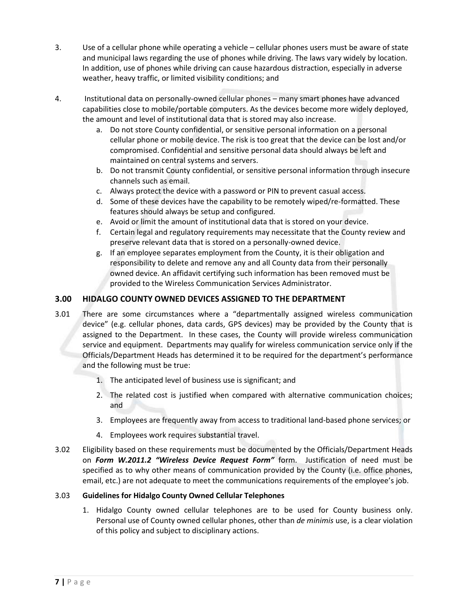- 3. Use of a cellular phone while operating a vehicle cellular phones users must be aware of state and municipal laws regarding the use of phones while driving. The laws vary widely by location. In addition, use of phones while driving can cause hazardous distraction, especially in adverse weather, heavy traffic, or limited visibility conditions; and
- 4. Institutional data on personally‐owned cellular phones many smart phones have advanced capabilities close to mobile/portable computers. As the devices become more widely deployed, the amount and level of institutional data that is stored may also increase.
	- a. Do not store County confidential, or sensitive personal information on a personal cellular phone or mobile device. The risk is too great that the device can be lost and/or compromised. Confidential and sensitive personal data should always be left and maintained on central systems and servers.
	- b. Do not transmit County confidential, or sensitive personal information through insecure channels such as email.
	- c. Always protect the device with a password or PIN to prevent casual access.
	- d. Some of these devices have the capability to be remotely wiped/re‐formatted. These features should always be setup and configured.
	- e. Avoid or limit the amount of institutional data that is stored on your device.
	- f. Certain legal and regulatory requirements may necessitate that the County review and preserve relevant data that is stored on a personally‐owned device.
	- g. If an employee separates employment from the County, it is their obligation and responsibility to delete and remove any and all County data from their personally owned device. An affidavit certifying such information has been removed must be provided to the Wireless Communication Services Administrator.

# **3.00 HIDALGO COUNTY OWNED DEVICES ASSIGNED TO THE DEPARTMENT**

- 3.01 There are some circumstances where a "departmentally assigned wireless communication device" (e.g. cellular phones, data cards, GPS devices) may be provided by the County that is assigned to the Department. In these cases, the County will provide wireless communication service and equipment. Departments may qualify for wireless communication service only if the Officials/Department Heads has determined it to be required for the department's performance and the following must be true:
	- 1. The anticipated level of business use is significant; and
	- 2. The related cost is justified when compared with alternative communication choices; and
	- 3. Employees are frequently away from access to traditional land‐based phone services; or
	- 4. Employees work requires substantial travel.
- 3.02 Eligibility based on these requirements must be documented by the Officials/Department Heads on *Form W.2011.2 "Wireless Device Request Form"* form. Justification of need must be specified as to why other means of communication provided by the County (i.e. office phones, email, etc.) are not adequate to meet the communications requirements of the employee's job.

## 3.03 **Guidelines for Hidalgo County Owned Cellular Telephones**

1. Hidalgo County owned cellular telephones are to be used for County business only. Personal use of County owned cellular phones, other than *de minimis* use, is a clear violation of this policy and subject to disciplinary actions.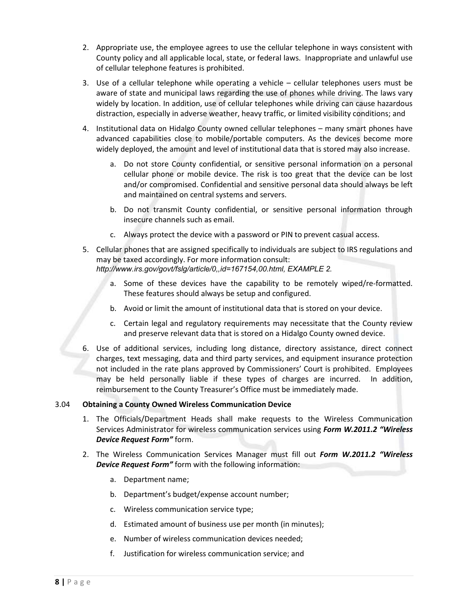- 2. Appropriate use, the employee agrees to use the cellular telephone in ways consistent with County policy and all applicable local, state, or federal laws. Inappropriate and unlawful use of cellular telephone features is prohibited.
- 3. Use of a cellular telephone while operating a vehicle cellular telephones users must be aware of state and municipal laws regarding the use of phones while driving. The laws vary widely by location. In addition, use of cellular telephones while driving can cause hazardous distraction, especially in adverse weather, heavy traffic, or limited visibility conditions; and
- 4. Institutional data on Hidalgo County owned cellular telephones many smart phones have advanced capabilities close to mobile/portable computers. As the devices become more widely deployed, the amount and level of institutional data that is stored may also increase.
	- a. Do not store County confidential, or sensitive personal information on a personal cellular phone or mobile device. The risk is too great that the device can be lost and/or compromised. Confidential and sensitive personal data should always be left and maintained on central systems and servers.
	- b. Do not transmit County confidential, or sensitive personal information through insecure channels such as email.
	- c. Always protect the device with a password or PIN to prevent casual access.
- 5. Cellular phones that are assigned specifically to individuals are subject to IRS regulations and may be taxed accordingly. For more information consult: *http://www.irs.gov/govt/fslg/article/0,,id=167154,00.html, EXAMPLE 2.*
	- a. Some of these devices have the capability to be remotely wiped/re‐formatted. These features should always be setup and configured.
	- b. Avoid or limit the amount of institutional data that is stored on your device.
	- c. Certain legal and regulatory requirements may necessitate that the County review and preserve relevant data that is stored on a Hidalgo County owned device.
- 6. Use of additional services, including long distance, directory assistance, direct connect charges, text messaging, data and third party services, and equipment insurance protection not included in the rate plans approved by Commissioners' Court is prohibited. Employees may be held personally liable if these types of charges are incurred. In addition, reimbursement to the County Treasurer's Office must be immediately made.

## 3.04 **Obtaining a County Owned Wireless Communication Device**

- 1. The Officials/Department Heads shall make requests to the Wireless Communication Services Administrator for wireless communication services using *Form W.2011.2 "Wireless Device Request Form"* form.
- 2. The Wireless Communication Services Manager must fill out *Form W.2011.2 "Wireless Device Request Form"* form with the following information:
	- a. Department name;
	- b. Department's budget/expense account number;
	- c. Wireless communication service type;
	- d. Estimated amount of business use per month (in minutes);
	- e. Number of wireless communication devices needed;
	- f. Justification for wireless communication service; and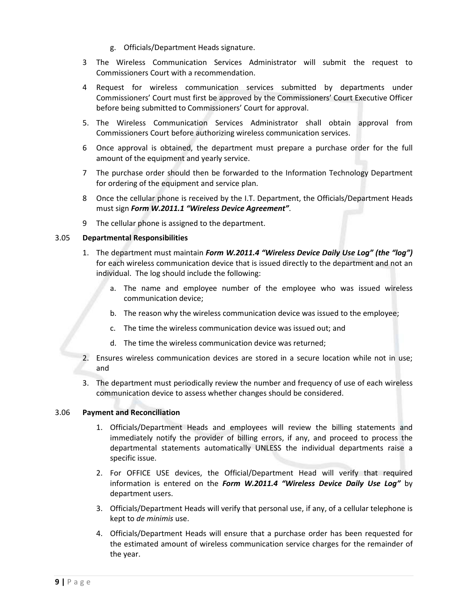- g. Officials/Department Heads signature.
- 3 The Wireless Communication Services Administrator will submit the request to Commissioners Court with a recommendation.
- 4 Request for wireless communication services submitted by departments under Commissioners' Court must first be approved by the Commissioners' Court Executive Officer before being submitted to Commissioners' Court for approval.
- 5. The Wireless Communication Services Administrator shall obtain approval from Commissioners Court before authorizing wireless communication services.
- 6 Once approval is obtained, the department must prepare a purchase order for the full amount of the equipment and yearly service.
- 7 The purchase order should then be forwarded to the Information Technology Department for ordering of the equipment and service plan.
- 8 Once the cellular phone is received by the I.T. Department, the Officials/Department Heads must sign *Form W.2011.1 "Wireless Device Agreement"*.
- 9 The cellular phone is assigned to the department.

#### 3.05 **Departmental Responsibilities**

- 1. The department must maintain *Form W.2011.4 "Wireless Device Daily Use Log" (the "log")* for each wireless communication device that is issued directly to the department and not an individual. The log should include the following:
	- a. The name and employee number of the employee who was issued wireless communication device;
	- b. The reason why the wireless communication device was issued to the employee;
	- c. The time the wireless communication device was issued out; and
	- d. The time the wireless communication device was returned;
- 2. Ensures wireless communication devices are stored in a secure location while not in use; and
- 3. The department must periodically review the number and frequency of use of each wireless communication device to assess whether changes should be considered.

#### 3.06 **Payment and Reconciliation**

- 1. Officials/Department Heads and employees will review the billing statements and immediately notify the provider of billing errors, if any, and proceed to process the departmental statements automatically UNLESS the individual departments raise a specific issue.
- 2. For OFFICE USE devices, the Official/Department Head will verify that required information is entered on the *Form W.2011.4 "Wireless Device Daily Use Log"* by department users.
- 3. Officials/Department Heads will verify that personal use, if any, of a cellular telephone is kept to *de minimis* use.
- 4. Officials/Department Heads will ensure that a purchase order has been requested for the estimated amount of wireless communication service charges for the remainder of the year.